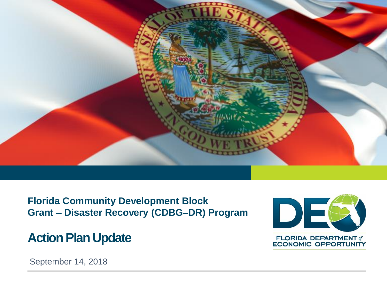

**Florida Community Development Block Grant – Disaster Recovery (CDBG–DR) Program**

## **Action Plan Update**



September 14, 2018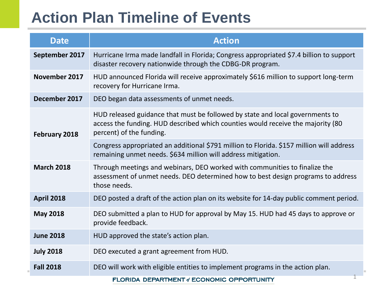# **Action Plan Timeline of Events**

| <b>Date</b>       | <b>Action</b>                                                                                                                                                                                |  |
|-------------------|----------------------------------------------------------------------------------------------------------------------------------------------------------------------------------------------|--|
| September 2017    | Hurricane Irma made landfall in Florida; Congress appropriated \$7.4 billion to support<br>disaster recovery nationwide through the CDBG-DR program.                                         |  |
| November 2017     | HUD announced Florida will receive approximately \$616 million to support long-term<br>recovery for Hurricane Irma.                                                                          |  |
| December 2017     | DEO began data assessments of unmet needs.                                                                                                                                                   |  |
| February 2018     | HUD released guidance that must be followed by state and local governments to<br>access the funding. HUD described which counties would receive the majority (80<br>percent) of the funding. |  |
|                   | Congress appropriated an additional \$791 million to Florida. \$157 million will address<br>remaining unmet needs. \$634 million will address mitigation.                                    |  |
| <b>March 2018</b> | Through meetings and webinars, DEO worked with communities to finalize the<br>assessment of unmet needs. DEO determined how to best design programs to address<br>those needs.               |  |
| <b>April 2018</b> | DEO posted a draft of the action plan on its website for 14-day public comment period.                                                                                                       |  |
| <b>May 2018</b>   | DEO submitted a plan to HUD for approval by May 15. HUD had 45 days to approve or<br>provide feedback.                                                                                       |  |
| <b>June 2018</b>  | HUD approved the state's action plan.                                                                                                                                                        |  |
| <b>July 2018</b>  | DEO executed a grant agreement from HUD.                                                                                                                                                     |  |
| <b>Fall 2018</b>  | DEO will work with eligible entities to implement programs in the action plan.                                                                                                               |  |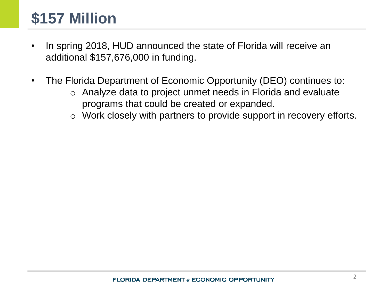# **\$157 Million**

- In spring 2018, HUD announced the state of Florida will receive an additional \$157,676,000 in funding.
- The Florida Department of Economic Opportunity (DEO) continues to:
	- o Analyze data to project unmet needs in Florida and evaluate programs that could be created or expanded.
	- o Work closely with partners to provide support in recovery efforts.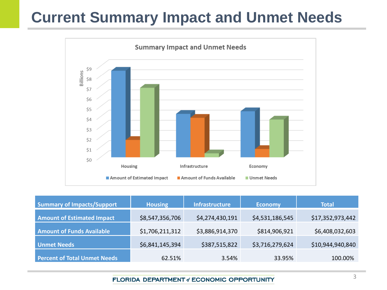# **Current Summary Impact and Unmet Needs**



| <b>Summary of Impacts/Support</b>   | <b>Housing</b>  | <b>Infrastructure</b> | <b>Economy</b>  | <b>Total</b>     |
|-------------------------------------|-----------------|-----------------------|-----------------|------------------|
| <b>Amount of Estimated Impact</b>   | \$8,547,356,706 | \$4,274,430,191       | \$4,531,186,545 | \$17,352,973,442 |
| <b>Amount of Funds Available</b>    | \$1,706,211,312 | \$3,886,914,370       | \$814,906,921   | \$6,408,032,603  |
| <b>Unmet Needs</b>                  | \$6,841,145,394 | \$387,515,822         | \$3,716,279,624 | \$10,944,940,840 |
| <b>Percent of Total Unmet Needs</b> | 62.51%          | 3.54%                 | 33.95%          | 100.00%          |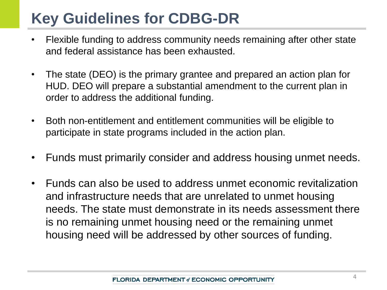# **Key Guidelines for CDBG-DR**

- Flexible funding to address community needs remaining after other state and federal assistance has been exhausted.
- The state (DEO) is the primary grantee and prepared an action plan for HUD. DEO will prepare a substantial amendment to the current plan in order to address the additional funding.
- Both non-entitlement and entitlement communities will be eligible to participate in state programs included in the action plan.
- Funds must primarily consider and address housing unmet needs.
- Funds can also be used to address unmet economic revitalization and infrastructure needs that are unrelated to unmet housing needs. The state must demonstrate in its needs assessment there is no remaining unmet housing need or the remaining unmet housing need will be addressed by other sources of funding.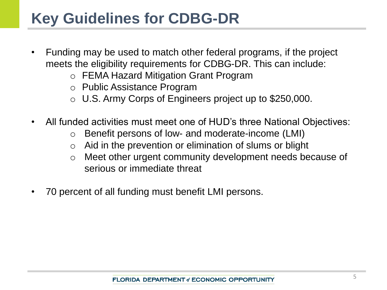# **Key Guidelines for CDBG-DR**

- Funding may be used to match other federal programs, if the project meets the eligibility requirements for CDBG-DR. This can include:
	- o FEMA Hazard Mitigation Grant Program
	- o Public Assistance Program
	- o U.S. Army Corps of Engineers project up to \$250,000.
- All funded activities must meet one of HUD's three National Objectives:
	- o Benefit persons of low- and moderate-income (LMI)
	- $\circ$  Aid in the prevention or elimination of slums or blight
	- o Meet other urgent community development needs because of serious or immediate threat
- 70 percent of all funding must benefit LMI persons.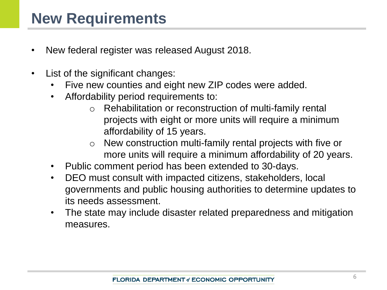- New federal register was released August 2018.
- List of the significant changes:
	- Five new counties and eight new ZIP codes were added.
	- Affordability period requirements to:
		- o Rehabilitation or reconstruction of multi-family rental projects with eight or more units will require a minimum affordability of 15 years.
		- o New construction multi-family rental projects with five or more units will require a minimum affordability of 20 years.
	- Public comment period has been extended to 30-days.
	- DEO must consult with impacted citizens, stakeholders, local governments and public housing authorities to determine updates to its needs assessment.
	- The state may include disaster related preparedness and mitigation measures.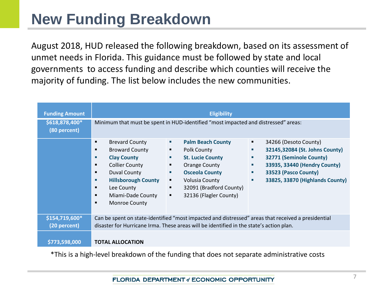# **New Funding Breakdown**

August 2018, HUD released the following breakdown, based on its assessment of unmet needs in Florida. This guidance must be followed by state and local governments to access funding and describe which counties will receive the majority of funding. The list below includes the new communities.

| <b>Funding Amount</b><br>\$618,878,400*<br>(80 percent) | <b>Eligibility</b><br>Minimum that must be spent in HUD-identified "most impacted and distressed" areas:                                                                                                                                                                                                                                                                                                                                                                                                                                                                                                                                                                                                                                    |  |  |  |
|---------------------------------------------------------|---------------------------------------------------------------------------------------------------------------------------------------------------------------------------------------------------------------------------------------------------------------------------------------------------------------------------------------------------------------------------------------------------------------------------------------------------------------------------------------------------------------------------------------------------------------------------------------------------------------------------------------------------------------------------------------------------------------------------------------------|--|--|--|
|                                                         | <b>Brevard County</b><br><b>Palm Beach County</b><br>34266 (Desoto County)<br>٠<br>٠<br>٠<br><b>Broward County</b><br>32145,32084 (St. Johns County)<br><b>Polk County</b><br>٠<br>٠<br>٠<br>32771 (Seminole County)<br><b>Clay County</b><br><b>St. Lucie County</b><br>٠<br>٠<br>п<br><b>Collier County</b><br>33935, 33440 (Hendry County)<br>Orange County<br>٠<br>٠<br>٠<br>33523 (Pasco County)<br><b>Duval County</b><br><b>Osceola County</b><br>٠<br>٠<br>٠<br><b>Hillsborough County</b><br>33825, 33870 (Highlands County)<br><b>Volusia County</b><br>٠<br>ш<br>٠<br>32091 (Bradford County)<br>Lee County<br>٠<br>٠<br>32136 (Flagler County)<br>Miami-Dade County<br>$\blacksquare$<br><b>Monroe County</b><br>$\blacksquare$ |  |  |  |
| \$154,719,600*<br>(20 percent)                          | Can be spent on state-identified "most impacted and distressed" areas that received a presidential<br>disaster for Hurricane Irma. These areas will be identified in the state's action plan.                                                                                                                                                                                                                                                                                                                                                                                                                                                                                                                                               |  |  |  |
| \$773,598,000                                           | <b>TOTAL ALLOCATION</b>                                                                                                                                                                                                                                                                                                                                                                                                                                                                                                                                                                                                                                                                                                                     |  |  |  |

\*This is a high-level breakdown of the funding that does not separate administrative costs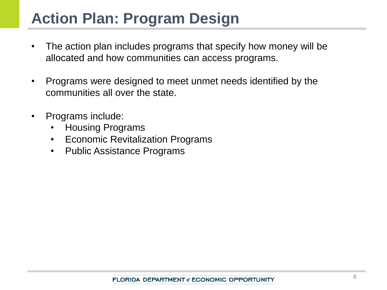# **Action Plan: Program Design**

- The action plan includes programs that specify how money will be allocated and how communities can access programs.
- Programs were designed to meet unmet needs identified by the communities all over the state.
- Programs include:
	- Housing Programs
	- Economic Revitalization Programs
	- Public Assistance Programs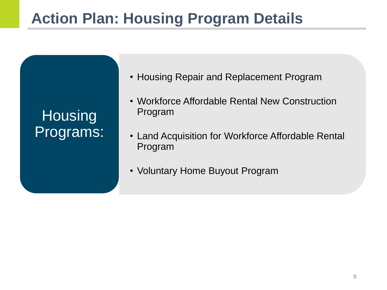# **Action Plan: Housing Program Details**

| Housing   |
|-----------|
| Programs: |

- Housing Repair and Replacement Program
- Workforce Affordable Rental New Construction Program
- Land Acquisition for Workforce Affordable Rental Program
- Voluntary Home Buyout Program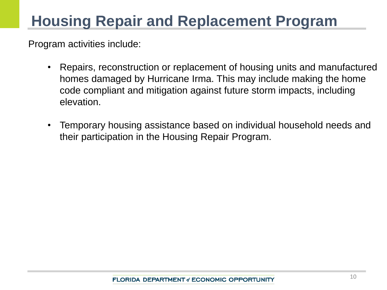# **Housing Repair and Replacement Program**

- Repairs, reconstruction or replacement of housing units and manufactured homes damaged by Hurricane Irma. This may include making the home code compliant and mitigation against future storm impacts, including elevation.
- Temporary housing assistance based on individual household needs and their participation in the Housing Repair Program.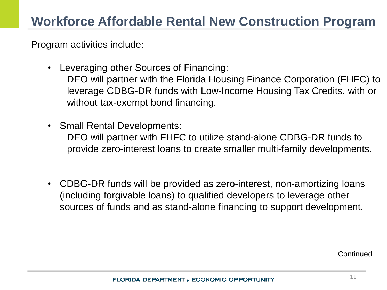Program activities include:

- Leveraging other Sources of Financing: DEO will partner with the Florida Housing Finance Corporation (FHFC) to leverage CDBG-DR funds with Low-Income Housing Tax Credits, with or without tax-exempt bond financing.
- Small Rental Developments:

DEO will partner with FHFC to utilize stand-alone CDBG-DR funds to provide zero-interest loans to create smaller multi-family developments.

• CDBG-DR funds will be provided as zero-interest, non-amortizing loans (including forgivable loans) to qualified developers to leverage other sources of funds and as stand-alone financing to support development.

**Continued**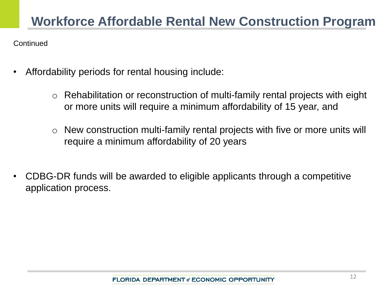**Continued** 

- Affordability periods for rental housing include:
	- Rehabilitation or reconstruction of multi-family rental projects with eight or more units will require a minimum affordability of 15 year, and
	- o New construction multi-family rental projects with five or more units will require a minimum affordability of 20 years
- CDBG-DR funds will be awarded to eligible applicants through a competitive application process.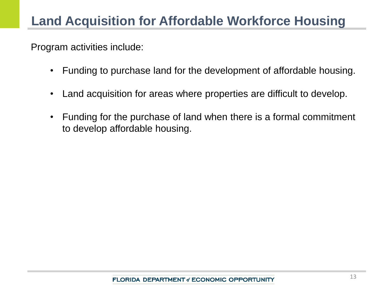- Funding to purchase land for the development of affordable housing.
- Land acquisition for areas where properties are difficult to develop.
- Funding for the purchase of land when there is a formal commitment to develop affordable housing.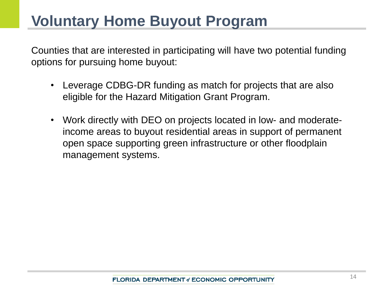## **Voluntary Home Buyout Program**

Counties that are interested in participating will have two potential funding options for pursuing home buyout:

- Leverage CDBG-DR funding as match for projects that are also eligible for the Hazard Mitigation Grant Program.
- Work directly with DEO on projects located in low- and moderateincome areas to buyout residential areas in support of permanent open space supporting green infrastructure or other floodplain management systems.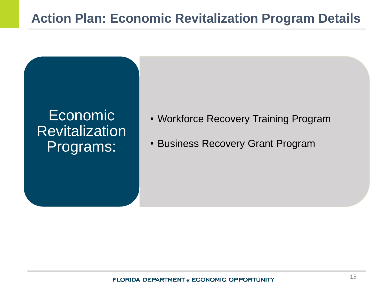## Economic **Revitalization** Programs:

- Workforce Recovery Training Program
- Business Recovery Grant Program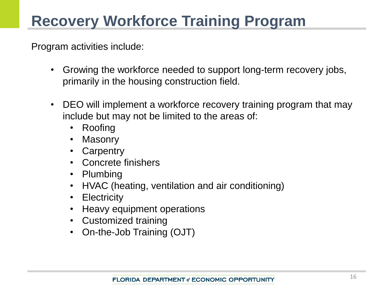# **Recovery Workforce Training Program**

- Growing the workforce needed to support long-term recovery jobs, primarily in the housing construction field.
- DEO will implement a workforce recovery training program that may include but may not be limited to the areas of:
	- Roofing
	- **Masonry**
	- Carpentry
	- Concrete finishers
	- Plumbing
	- HVAC (heating, ventilation and air conditioning)
	- Electricity
	- Heavy equipment operations
	- Customized training
	- On-the-Job Training (OJT)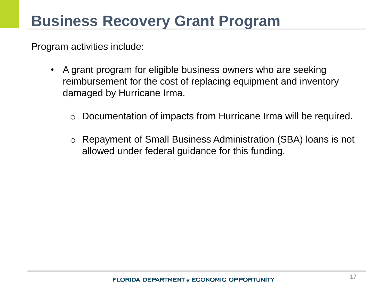- A grant program for eligible business owners who are seeking reimbursement for the cost of replacing equipment and inventory damaged by Hurricane Irma.
	- o Documentation of impacts from Hurricane Irma will be required.
	- o Repayment of Small Business Administration (SBA) loans is not allowed under federal guidance for this funding.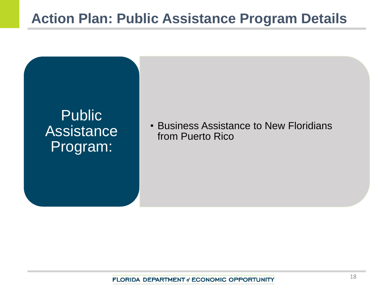

• Business Assistance to New Floridians from Puerto Rico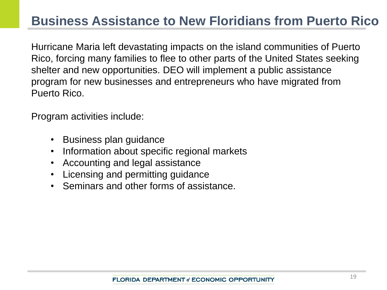## **Business Assistance to New Floridians from Puerto Rico**

Hurricane Maria left devastating impacts on the island communities of Puerto Rico, forcing many families to flee to other parts of the United States seeking shelter and new opportunities. DEO will implement a public assistance program for new businesses and entrepreneurs who have migrated from Puerto Rico.

- Business plan guidance
- Information about specific regional markets
- Accounting and legal assistance
- Licensing and permitting guidance
- Seminars and other forms of assistance.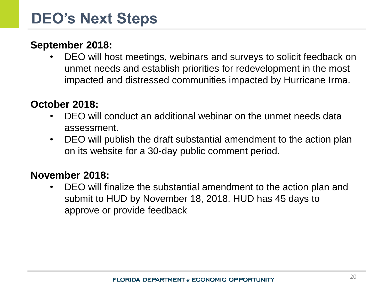### **September 2018:**

• DEO will host meetings, webinars and surveys to solicit feedback on unmet needs and establish priorities for redevelopment in the most impacted and distressed communities impacted by Hurricane Irma.

#### **October 2018:**

- DEO will conduct an additional webinar on the unmet needs data assessment.
- DEO will publish the draft substantial amendment to the action plan on its website for a 30-day public comment period.

#### **November 2018:**

• DEO will finalize the substantial amendment to the action plan and submit to HUD by November 18, 2018. HUD has 45 days to approve or provide feedback